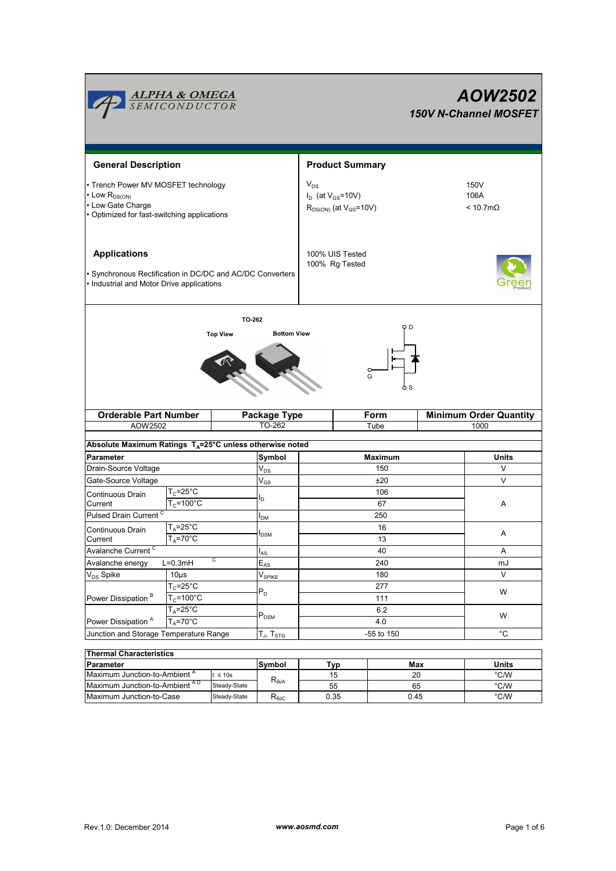|                                                                                                                                     | <b>ALPHA &amp; OMEGA</b><br>SEMICONDUCTOR   |                                                                         |                                                         |                                   |                        |                                         |                                       | AOW2502<br>150V N-Channel MOSFET |  |
|-------------------------------------------------------------------------------------------------------------------------------------|---------------------------------------------|-------------------------------------------------------------------------|---------------------------------------------------------|-----------------------------------|------------------------|-----------------------------------------|---------------------------------------|----------------------------------|--|
| <b>General Description</b>                                                                                                          |                                             |                                                                         |                                                         |                                   | <b>Product Summary</b> |                                         |                                       |                                  |  |
| • Trench Power MV MOSFET technology<br>$\cdot$ Low $R_{DS(ON)}$<br>• Low Gate Charge<br>• Optimized for fast-switching applications |                                             | $V_{DS}$<br>$I_D$ (at $V_{GS}$ =10V)<br>$R_{DS(ON)}$ (at $V_{GS}$ =10V) |                                                         |                                   |                        | 150V<br>106A<br>$< 10.7 \text{m}\Omega$ |                                       |                                  |  |
| <b>Applications</b><br>· Synchronous Rectification in DC/DC and AC/DC Converters<br>• Industrial and Motor Drive applications       |                                             |                                                                         |                                                         | 100% UIS Tested<br>100% Rg Tested |                        |                                         |                                       |                                  |  |
|                                                                                                                                     |                                             | TO-262<br><b>Top View</b>                                               | <b>Bottom View</b>                                      |                                   |                        | ФD<br>G<br>o s                          |                                       |                                  |  |
| <b>Orderable Part Number</b><br>AOW2502                                                                                             |                                             |                                                                         | Package Type<br>TO-262                                  |                                   | Form<br>Tube           |                                         | <b>Minimum Order Quantity</b><br>1000 |                                  |  |
|                                                                                                                                     |                                             |                                                                         |                                                         |                                   |                        |                                         |                                       |                                  |  |
| Absolute Maximum Ratings TA=25°C unless otherwise noted                                                                             |                                             |                                                                         |                                                         |                                   |                        |                                         |                                       |                                  |  |
| Parameter                                                                                                                           |                                             |                                                                         | Symbol                                                  | Maximum                           |                        |                                         |                                       | Units                            |  |
| Drain-Source Voltage                                                                                                                |                                             |                                                                         | $\mathsf{V}_{\mathsf{DS}}$                              | 150                               |                        |                                         | V                                     |                                  |  |
| Gate-Source Voltage                                                                                                                 |                                             |                                                                         | $\rm V_{GS}$                                            | ±20                               |                        |                                         |                                       | V                                |  |
| Continuous Drain                                                                                                                    | $T_c = 25$ °C                               |                                                                         | Iр                                                      | 106                               |                        |                                         |                                       |                                  |  |
| $T_c = 100^{\circ}$ C<br>Current                                                                                                    |                                             |                                                                         |                                                         | 67                                |                        |                                         | Α                                     |                                  |  |
| Pulsed Drain Current <sup>C</sup>                                                                                                   |                                             |                                                                         | $I_{DM}$                                                | 250                               |                        |                                         |                                       |                                  |  |
| Continuous Drain                                                                                                                    | $T_A = 25$ °C                               |                                                                         | <b>I</b> <sub>DSM</sub>                                 | 16                                |                        |                                         |                                       | Α                                |  |
| Current                                                                                                                             | $T_A = 70^{\circ}$ C                        |                                                                         |                                                         | 13                                |                        |                                         |                                       |                                  |  |
| Avalanche Current <sup>C</sup>                                                                                                      |                                             | C                                                                       | $I_{AS}$                                                | 40                                |                        |                                         |                                       | A                                |  |
| $L=0.3mH$<br>Avalanche energy                                                                                                       |                                             |                                                                         | $\mathsf{E}_{\mathsf{AS}}$                              | 240                               |                        |                                         |                                       | mJ                               |  |
| V <sub>DS</sub> Spike                                                                                                               | $10\mus$                                    |                                                                         | $V_{SPIKE}$                                             | 180<br>277<br>111                 |                        |                                         |                                       | V<br>W                           |  |
| Power Dissipation <sup>B</sup>                                                                                                      | $T_c = 25^\circ C$<br>$T_c = 100^{\circ}$ C |                                                                         | $P_D$                                                   |                                   |                        |                                         |                                       |                                  |  |
|                                                                                                                                     | $T_A = 25^\circ C$                          |                                                                         |                                                         | 6.2                               |                        |                                         |                                       | W<br>°C                          |  |
| $T_A = 70^\circ C$<br>Power Dissipation <sup>A</sup>                                                                                |                                             | $P_{DSM}$                                                               | 4.0                                                     |                                   |                        |                                         |                                       |                                  |  |
| Junction and Storage Temperature Range                                                                                              |                                             |                                                                         | $\mathsf{T}_{\mathsf{J}}, \, \mathsf{T}_{\mathsf{STG}}$ | -55 to 150                        |                        |                                         |                                       |                                  |  |
|                                                                                                                                     |                                             |                                                                         |                                                         |                                   |                        |                                         |                                       |                                  |  |
| <b>Thermal Characteristics</b>                                                                                                      |                                             |                                                                         |                                                         |                                   |                        |                                         |                                       |                                  |  |
| <b>Parameter</b>                                                                                                                    |                                             |                                                                         | Symbol                                                  |                                   | Typ                    | Max                                     |                                       | <b>Units</b>                     |  |
| Maximum Junction-to-Ambient <sup>A</sup><br>$t \leq 10s$                                                                            |                                             |                                                                         | $R_{0JA}$                                               |                                   | 15<br>55               | 20<br>65                                |                                       | $^{\circ}$ C/W<br>$^{\circ}$ C/W |  |
| Maximum Junction-to-Ambient AD<br>Steady-State                                                                                      |                                             |                                                                         |                                                         |                                   |                        |                                         |                                       |                                  |  |

Maximum Junction-to-Case Steady-State R<sub>BJC</sub> 0.35 0.45 °C/W

0.35

0.45

Steady-State R<sub>θJC</sub>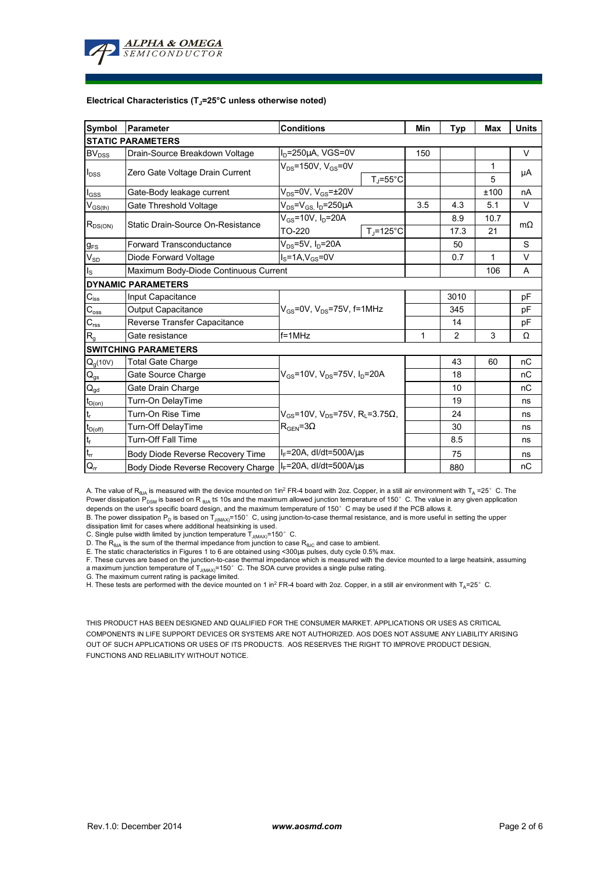

#### **Electrical Characteristics (TJ=25°C unless otherwise noted)**

| Symbol                                 | Parameter                                | <b>Conditions</b>                                               | Min                  | Typ            | <b>Max</b> | <b>Units</b> |    |  |  |  |  |  |  |
|----------------------------------------|------------------------------------------|-----------------------------------------------------------------|----------------------|----------------|------------|--------------|----|--|--|--|--|--|--|
| <b>STATIC PARAMETERS</b>               |                                          |                                                                 |                      |                |            |              |    |  |  |  |  |  |  |
| BV <sub>DSS</sub>                      | Drain-Source Breakdown Voltage           | $I_D = 250 \mu A$ , VGS=0V                                      |                      | 150            |            |              | V  |  |  |  |  |  |  |
| $I_{\text{DSS}}$                       | Zero Gate Voltage Drain Current          | $V_{DS}$ =150V, $V_{GS}$ =0V                                    |                      |                | 1          | μA           |    |  |  |  |  |  |  |
|                                        |                                          | $T_{\rm J}$ =55°C                                               |                      |                |            |              | 5  |  |  |  |  |  |  |
| $I_{GSS}$                              | Gate-Body leakage current                | $V_{DS}$ =0V, $V_{GS}$ = $\pm$ 20V                              |                      |                |            | ±100         | nA |  |  |  |  |  |  |
| $V_{GS(th)}$                           | Gate Threshold Voltage                   | $V_{DS} = V_{GS} I_D = 250 \mu A$                               | 3.5                  | 4.3            | 5.1        | V            |    |  |  |  |  |  |  |
| $R_{DS(ON)}$                           | Static Drain-Source On-Resistance        | $V_{GS}$ =10V, $I_{D}$ =20A                                     |                      | 8.9            | 10.7       | $m\Omega$    |    |  |  |  |  |  |  |
|                                        |                                          | TO-220                                                          | $T_i = 125^{\circ}C$ |                | 17.3       | 21           |    |  |  |  |  |  |  |
| $g_{\text{FS}}$                        | <b>Forward Transconductance</b>          |                                                                 |                      | 50             |            | S            |    |  |  |  |  |  |  |
| $V_{SD}$                               | $IS=1A, VGS=0V$<br>Diode Forward Voltage |                                                                 |                      |                | 0.7        | 1            | V  |  |  |  |  |  |  |
| $I_{\rm S}$                            | Maximum Body-Diode Continuous Current    |                                                                 |                      | 106            | A          |              |    |  |  |  |  |  |  |
|                                        | <b>DYNAMIC PARAMETERS</b>                |                                                                 |                      |                |            |              |    |  |  |  |  |  |  |
| $C_{iss}$                              | Input Capacitance                        |                                                                 |                      | 3010           |            | pF           |    |  |  |  |  |  |  |
| $C_{\rm oss}$                          | Output Capacitance                       | $V_{GS}$ =0V, $V_{DS}$ =75V, f=1MHz                             |                      | 345            |            | рF           |    |  |  |  |  |  |  |
| $C_{\rm rss}$                          | Reverse Transfer Capacitance             |                                                                 |                      |                | 14         |              | pF |  |  |  |  |  |  |
| $R_{g}$                                | Gate resistance                          | $f = 1$ MHz                                                     | $\mathbf{1}$         | $\overline{2}$ | 3          | Ω            |    |  |  |  |  |  |  |
|                                        | <b>SWITCHING PARAMETERS</b>              |                                                                 |                      |                |            |              |    |  |  |  |  |  |  |
| $Q_q(10V)$                             | <b>Total Gate Charge</b>                 |                                                                 |                      |                | 43         | 60           | nC |  |  |  |  |  |  |
| $\mathsf{Q}_{\underline{\mathsf{gs}}}$ | Gate Source Charge                       | $V_{\text{gs}}$ =10V, $V_{\text{ps}}$ =75V, $I_{\text{p}}$ =20A |                      | 18             |            | nC           |    |  |  |  |  |  |  |
| $\mathsf{Q}_{\underline{\mathsf{gd}}}$ | Gate Drain Charge                        |                                                                 |                      | 10             |            | nC           |    |  |  |  |  |  |  |
| $t_{D(0n)}$                            | Turn-On DelayTime                        |                                                                 |                      |                | 19         |              | ns |  |  |  |  |  |  |
| $\mathsf{t}_\mathsf{r}$                | Turn-On Rise Time                        | $V_{GS}$ =10V, V <sub>DS</sub> =75V, R <sub>L</sub> =3.75Ω,     |                      | 24             |            | ns           |    |  |  |  |  |  |  |
| $t_{D(off)}$                           | Turn-Off DelayTime                       | $R_{\text{GEN}} = 3\Omega$                                      |                      | 30             |            | ns           |    |  |  |  |  |  |  |
|                                        | <b>Turn-Off Fall Time</b>                |                                                                 |                      | 8.5            |            | ns           |    |  |  |  |  |  |  |
| $\frac{t_f}{t_{rr}}$                   | Body Diode Reverse Recovery Time         | $I_F = 20A$ , dl/dt=500A/us                                     |                      | 75             |            | ns           |    |  |  |  |  |  |  |
| $Q_{rr}$                               | Body Diode Reverse Recovery Charge       | $I_F$ =20A, dl/dt=500A/ $\mu$ s                                 |                      | 880            |            | nC           |    |  |  |  |  |  |  |

A. The value of R<sub>BJA</sub> is measured with the device mounted on 1in<sup>2</sup> FR-4 board with 2oz. Copper, in a still air environment with T<sub>A</sub> =25°C. The Power dissipation P<sub>DSM</sub> is based on R <sub>6JA</sub> t≤ 10s and the maximum allowed junction temperature of 150°C. The value in any given application<br>depends on the user's specific board design, and the maximum temperature of 150

B. The power dissipation P<sub>D</sub> is based on T<sub>J(MAX)</sub>=150°C, using junction-to-case thermal resistance, and is more useful in setting the upper<br>dissipation limit for cases where additional heatsinking is used.

C. Single pulse width limited by junction temperature  $T_{J(MAX)}$ =150°C.

D. The  $R_{AJA}$  is the sum of the thermal impedance from junction to case  $R_{AJC}$  and case to ambient.

E. The static characteristics in Figures 1 to 6 are obtained using <300µs pulses, duty cycle 0.5% max.

F. These curves are based on the junction-to-case thermal impedance which is measured with the device mounted to a large heatsink, assuming a maximum junction temperature of  $T_{J(MAX)}$ =150°C. The SOA curve provides a single pulse rating.

G. The maximum current rating is package limited.

H. These tests are performed with the device mounted on 1 in<sup>2</sup> FR-4 board with 2oz. Copper, in a still air environment with TA=25°C.

THIS PRODUCT HAS BEEN DESIGNED AND QUALIFIED FOR THE CONSUMER MARKET. APPLICATIONS OR USES AS CRITICAL COMPONENTS IN LIFE SUPPORT DEVICES OR SYSTEMS ARE NOT AUTHORIZED. AOS DOES NOT ASSUME ANY LIABILITY ARISING OUT OF SUCH APPLICATIONS OR USES OF ITS PRODUCTS. AOS RESERVES THE RIGHT TO IMPROVE PRODUCT DESIGN, FUNCTIONS AND RELIABILITY WITHOUT NOTICE.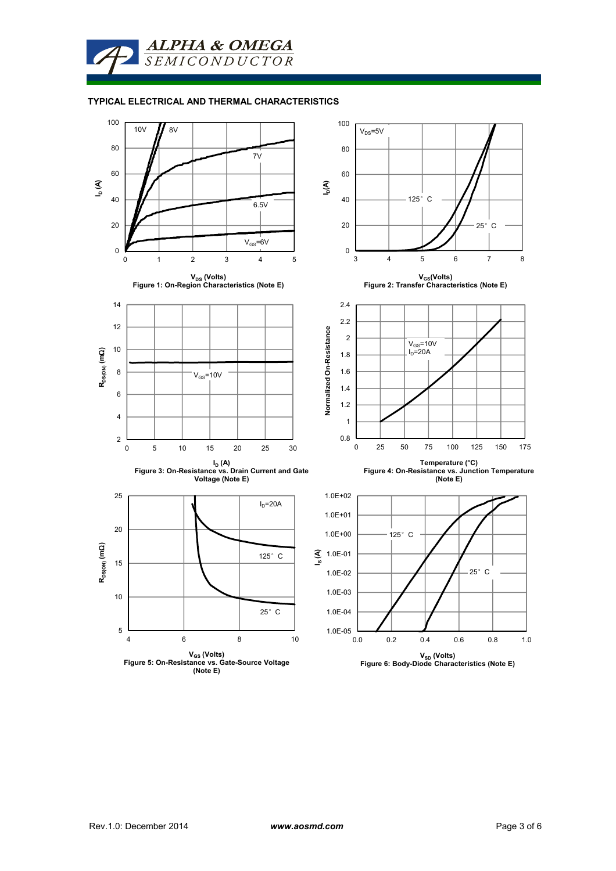

### **TYPICAL ELECTRICAL AND THERMAL CHARACTERISTICS**

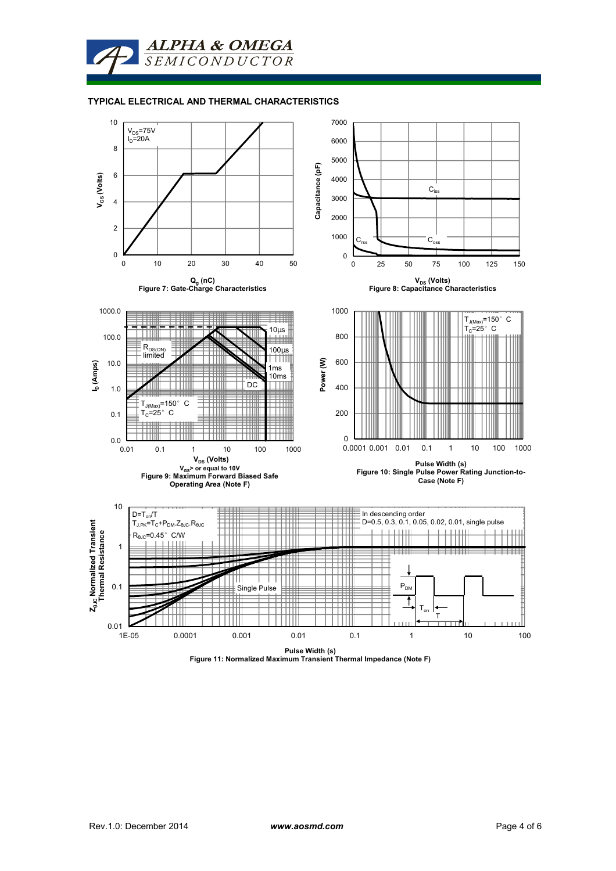

#### **TYPICAL ELECTRICAL AND THERMAL CHARACTERISTICS**

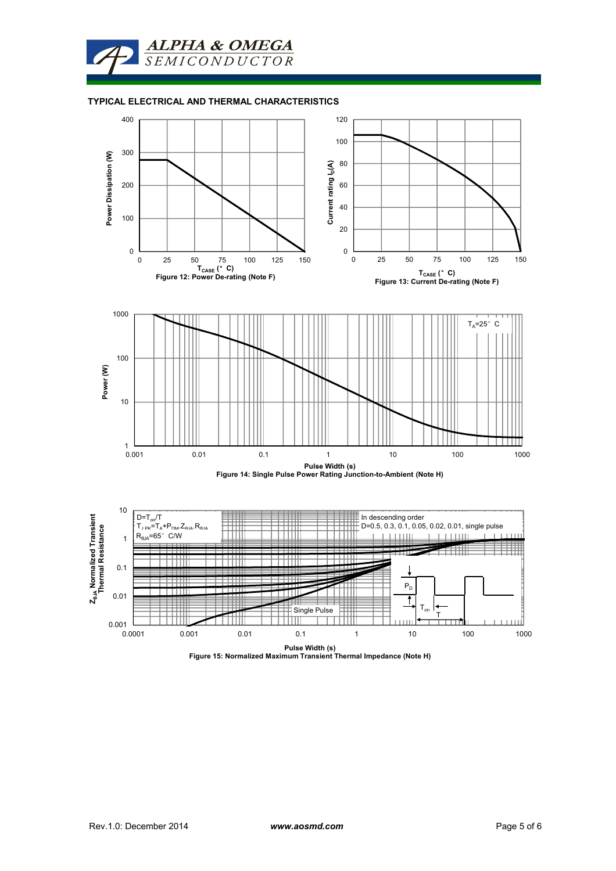

### **TYPICAL ELECTRICAL AND THERMAL CHARACTERISTICS**



**Pulse Width (s) Figure 15: Normalized Maximum Transient Thermal Impedance (Note H)**